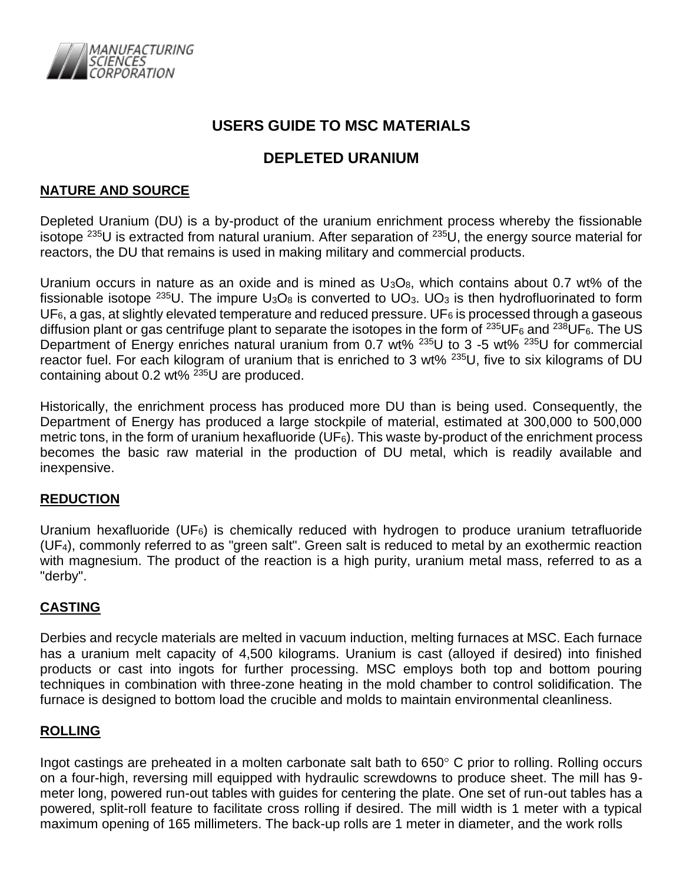

# **USERS GUIDE TO MSC MATERIALS**

# **DEPLETED URANIUM**

# **NATURE AND SOURCE**

Depleted Uranium (DU) is a by-product of the uranium enrichment process whereby the fissionable isotope <sup>235</sup>U is extracted from natural uranium. After separation of <sup>235</sup>U, the energy source material for reactors, the DU that remains is used in making military and commercial products.

Uranium occurs in nature as an oxide and is mined as  $U_3O_8$ , which contains about 0.7 wt% of the fissionable isotope  $^{235}$ U. The impure  $U_3O_8$  is converted to  $U_3$ .  $U_3$  is then hydrofluorinated to form  $UF<sub>6</sub>$ , a gas, at slightly elevated temperature and reduced pressure. UF<sub>6</sub> is processed through a gaseous diffusion plant or gas centrifuge plant to separate the isotopes in the form of  $^{235}$ UF<sub>6</sub> and  $^{238}$ UF<sub>6</sub>. The US Department of Energy enriches natural uranium from 0.7 wt% <sup>235</sup>U to 3 -5 wt% <sup>235</sup>U for commercial reactor fuel. For each kilogram of uranium that is enriched to 3 wt% <sup>235</sup>U, five to six kilograms of DU containing about 0.2 wt%  $2^{35}$ U are produced.

Historically, the enrichment process has produced more DU than is being used. Consequently, the Department of Energy has produced a large stockpile of material, estimated at 300,000 to 500,000 metric tons, in the form of uranium hexafluoride (UF6). This waste by-product of the enrichment process becomes the basic raw material in the production of DU metal, which is readily available and inexpensive.

# **REDUCTION**

Uranium hexafluoride (UF $_6$ ) is chemically reduced with hydrogen to produce uranium tetrafluoride (UF4), commonly referred to as "green salt". Green salt is reduced to metal by an exothermic reaction with magnesium. The product of the reaction is a high purity, uranium metal mass, referred to as a "derby".

# **CASTING**

Derbies and recycle materials are melted in vacuum induction, melting furnaces at MSC. Each furnace has a uranium melt capacity of 4,500 kilograms. Uranium is cast (alloyed if desired) into finished products or cast into ingots for further processing. MSC employs both top and bottom pouring techniques in combination with three-zone heating in the mold chamber to control solidification. The furnace is designed to bottom load the crucible and molds to maintain environmental cleanliness.

### **ROLLING**

Ingot castings are preheated in a molten carbonate salt bath to  $650^{\circ}$  C prior to rolling. Rolling occurs on a four-high, reversing mill equipped with hydraulic screwdowns to produce sheet. The mill has 9 meter long, powered run-out tables with guides for centering the plate. One set of run-out tables has a powered, split-roll feature to facilitate cross rolling if desired. The mill width is 1 meter with a typical maximum opening of 165 millimeters. The back-up rolls are 1 meter in diameter, and the work rolls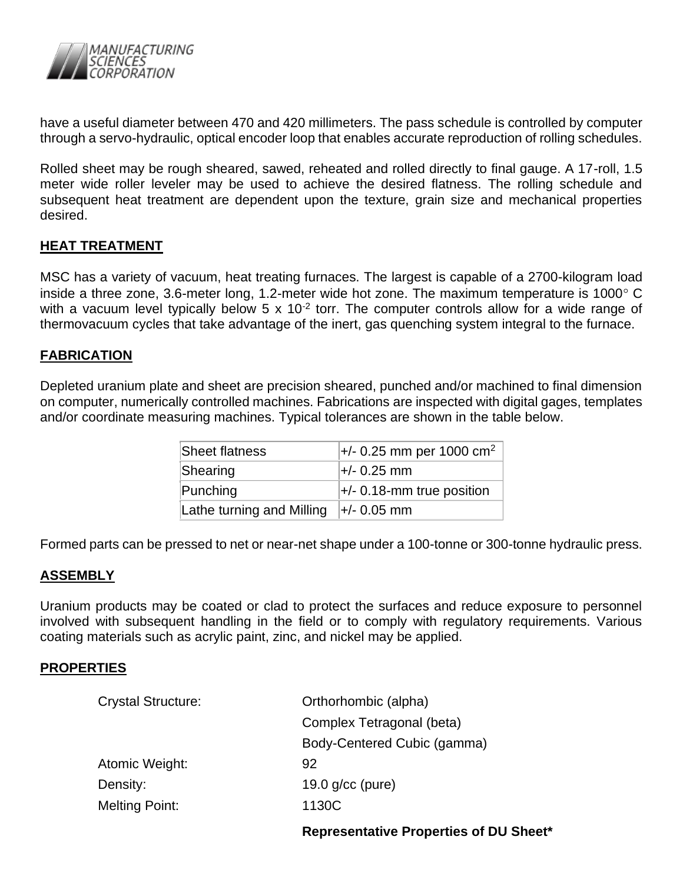

have a useful diameter between 470 and 420 millimeters. The pass schedule is controlled by computer through a servo-hydraulic, optical encoder loop that enables accurate reproduction of rolling schedules.

Rolled sheet may be rough sheared, sawed, reheated and rolled directly to final gauge. A 17-roll, 1.5 meter wide roller leveler may be used to achieve the desired flatness. The rolling schedule and subsequent heat treatment are dependent upon the texture, grain size and mechanical properties desired.

## **HEAT TREATMENT**

MSC has a variety of vacuum, heat treating furnaces. The largest is capable of a 2700-kilogram load inside a three zone, 3.6-meter long, 1.2-meter wide hot zone. The maximum temperature is 1000 $^{\circ}$  C with a vacuum level typically below 5 x 10<sup>-2</sup> torr. The computer controls allow for a wide range of thermovacuum cycles that take advantage of the inert, gas quenching system integral to the furnace.

## **FABRICATION**

Depleted uranium plate and sheet are precision sheared, punched and/or machined to final dimension on computer, numerically controlled machines. Fabrications are inspected with digital gages, templates and/or coordinate measuring machines. Typical tolerances are shown in the table below.

| Sheet flatness            | $+/- 0.25$ mm per 1000 cm <sup>2</sup>   |
|---------------------------|------------------------------------------|
| Shearing                  | l+/- 0.25 mm                             |
| Punching                  | $\left  + \right $ 0.18-mm true position |
| Lathe turning and Milling | $\pm$ /- 0.05 mm                         |

Formed parts can be pressed to net or near-net shape under a 100-tonne or 300-tonne hydraulic press.

### **ASSEMBLY**

Uranium products may be coated or clad to protect the surfaces and reduce exposure to personnel involved with subsequent handling in the field or to comply with regulatory requirements. Various coating materials such as acrylic paint, zinc, and nickel may be applied.

### **PROPERTIES**

| <b>Crystal Structure:</b> | Orthorhombic (alpha)        |  |  |
|---------------------------|-----------------------------|--|--|
|                           | Complex Tetragonal (beta)   |  |  |
|                           | Body-Centered Cubic (gamma) |  |  |
| Atomic Weight:            | 92                          |  |  |
| Density:                  | 19.0 $q/cc$ (pure)          |  |  |
| <b>Melting Point:</b>     | 1130C                       |  |  |
|                           |                             |  |  |

**Representative Properties of DU Sheet\***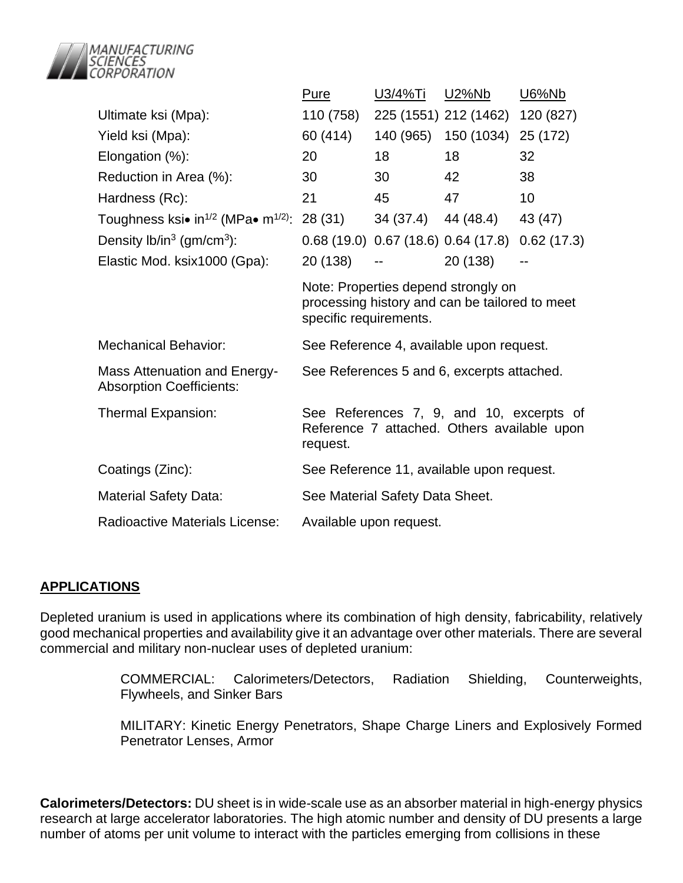

|                                                                        | <u>Pure</u>                                                                                                     | U3/4%Ti   | U2%Nb                            | <b>U6%Nb</b> |  |
|------------------------------------------------------------------------|-----------------------------------------------------------------------------------------------------------------|-----------|----------------------------------|--------------|--|
| Ultimate ksi (Mpa):                                                    | 110 (758)                                                                                                       |           | 225 (1551) 212 (1462)            | 120 (827)    |  |
| Yield ksi (Mpa):                                                       | 60 (414)                                                                                                        | 140 (965) | 150 (1034)                       | 25 (172)     |  |
| Elongation (%):                                                        | 20                                                                                                              | 18        | 18                               | 32           |  |
| Reduction in Area (%):                                                 | 30                                                                                                              | 30        | 42                               | 38           |  |
| Hardness (Rc):                                                         | 21                                                                                                              | 45        | 47                               | 10           |  |
| Toughness ksi• in <sup>1/2</sup> (MPa• m <sup>1/2)</sup> :             | 28 (31)                                                                                                         |           | 34 (37.4) 44 (48.4)              | 43 (47)      |  |
| Density $lb/in^3$ (gm/cm <sup>3</sup> ):                               |                                                                                                                 |           | 0.68(19.0) 0.67(18.6) 0.64(17.8) | 0.62(17.3)   |  |
| Elastic Mod. ksix1000 (Gpa):                                           | 20 (138)                                                                                                        |           | 20 (138)                         |              |  |
|                                                                        | Note: Properties depend strongly on<br>processing history and can be tailored to meet<br>specific requirements. |           |                                  |              |  |
| <b>Mechanical Behavior:</b>                                            | See Reference 4, available upon request.                                                                        |           |                                  |              |  |
| <b>Mass Attenuation and Energy-</b><br><b>Absorption Coefficients:</b> | See References 5 and 6, excerpts attached.                                                                      |           |                                  |              |  |
| Thermal Expansion:                                                     | See References 7, 9, and 10, excerpts of<br>Reference 7 attached. Others available upon<br>request.             |           |                                  |              |  |
| Coatings (Zinc):                                                       | See Reference 11, available upon request.                                                                       |           |                                  |              |  |
| <b>Material Safety Data:</b>                                           | See Material Safety Data Sheet.                                                                                 |           |                                  |              |  |
| <b>Radioactive Materials License:</b>                                  | Available upon request.                                                                                         |           |                                  |              |  |

### **APPLICATIONS**

Depleted uranium is used in applications where its combination of high density, fabricability, relatively good mechanical properties and availability give it an advantage over other materials. There are several commercial and military non-nuclear uses of depleted uranium:

> COMMERCIAL: Calorimeters/Detectors, Radiation Shielding, Counterweights, Flywheels, and Sinker Bars

> MILITARY: Kinetic Energy Penetrators, Shape Charge Liners and Explosively Formed Penetrator Lenses, Armor

**Calorimeters/Detectors:** DU sheet is in wide-scale use as an absorber material in high-energy physics research at large accelerator laboratories. The high atomic number and density of DU presents a large number of atoms per unit volume to interact with the particles emerging from collisions in these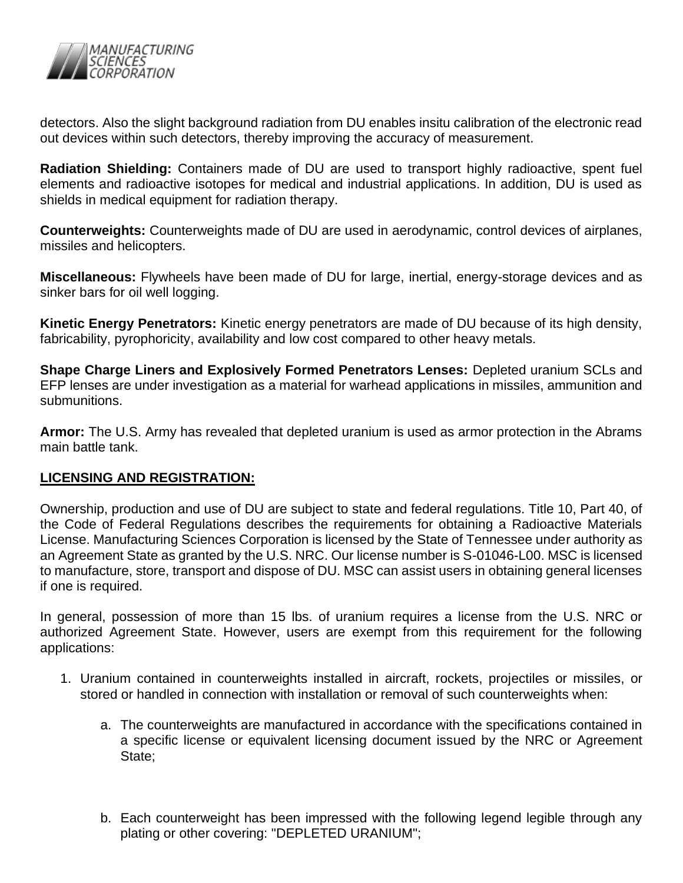

detectors. Also the slight background radiation from DU enables insitu calibration of the electronic read out devices within such detectors, thereby improving the accuracy of measurement.

**Radiation Shielding:** Containers made of DU are used to transport highly radioactive, spent fuel elements and radioactive isotopes for medical and industrial applications. In addition, DU is used as shields in medical equipment for radiation therapy.

**Counterweights:** Counterweights made of DU are used in aerodynamic, control devices of airplanes, missiles and helicopters.

**Miscellaneous:** Flywheels have been made of DU for large, inertial, energy-storage devices and as sinker bars for oil well logging.

**Kinetic Energy Penetrators:** Kinetic energy penetrators are made of DU because of its high density, fabricability, pyrophoricity, availability and low cost compared to other heavy metals.

**Shape Charge Liners and Explosively Formed Penetrators Lenses:** Depleted uranium SCLs and EFP lenses are under investigation as a material for warhead applications in missiles, ammunition and submunitions.

**Armor:** The U.S. Army has revealed that depleted uranium is used as armor protection in the Abrams main battle tank.

# **LICENSING AND REGISTRATION:**

Ownership, production and use of DU are subject to state and federal regulations. Title 10, Part 40, of the Code of Federal Regulations describes the requirements for obtaining a Radioactive Materials License. Manufacturing Sciences Corporation is licensed by the State of Tennessee under authority as an Agreement State as granted by the U.S. NRC. Our license number is S-01046-L00. MSC is licensed to manufacture, store, transport and dispose of DU. MSC can assist users in obtaining general licenses if one is required.

In general, possession of more than 15 lbs. of uranium requires a license from the U.S. NRC or authorized Agreement State. However, users are exempt from this requirement for the following applications:

- 1. Uranium contained in counterweights installed in aircraft, rockets, projectiles or missiles, or stored or handled in connection with installation or removal of such counterweights when:
	- a. The counterweights are manufactured in accordance with the specifications contained in a specific license or equivalent licensing document issued by the NRC or Agreement State;
	- b. Each counterweight has been impressed with the following legend legible through any plating or other covering: "DEPLETED URANIUM";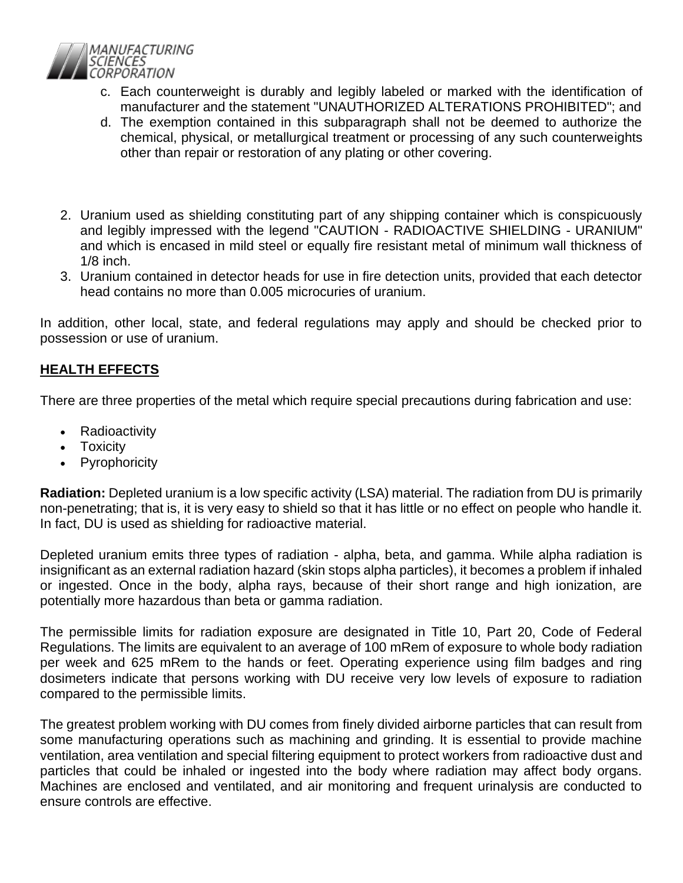

- c. Each counterweight is durably and legibly labeled or marked with the identification of manufacturer and the statement "UNAUTHORIZED ALTERATIONS PROHIBITED"; and
- d. The exemption contained in this subparagraph shall not be deemed to authorize the chemical, physical, or metallurgical treatment or processing of any such counterweights other than repair or restoration of any plating or other covering.
- 2. Uranium used as shielding constituting part of any shipping container which is conspicuously and legibly impressed with the legend "CAUTION - RADIOACTIVE SHIELDING - URANIUM" and which is encased in mild steel or equally fire resistant metal of minimum wall thickness of 1/8 inch.
- 3. Uranium contained in detector heads for use in fire detection units, provided that each detector head contains no more than 0.005 microcuries of uranium.

In addition, other local, state, and federal regulations may apply and should be checked prior to possession or use of uranium.

# **HEALTH EFFECTS**

There are three properties of the metal which require special precautions during fabrication and use:

- Radioactivity
- Toxicity
- **Pyrophoricity**

**Radiation:** Depleted uranium is a low specific activity (LSA) material. The radiation from DU is primarily non-penetrating; that is, it is very easy to shield so that it has little or no effect on people who handle it. In fact, DU is used as shielding for radioactive material.

Depleted uranium emits three types of radiation - alpha, beta, and gamma. While alpha radiation is insignificant as an external radiation hazard (skin stops alpha particles), it becomes a problem if inhaled or ingested. Once in the body, alpha rays, because of their short range and high ionization, are potentially more hazardous than beta or gamma radiation.

The permissible limits for radiation exposure are designated in Title 10, Part 20, Code of Federal Regulations. The limits are equivalent to an average of 100 mRem of exposure to whole body radiation per week and 625 mRem to the hands or feet. Operating experience using film badges and ring dosimeters indicate that persons working with DU receive very low levels of exposure to radiation compared to the permissible limits.

The greatest problem working with DU comes from finely divided airborne particles that can result from some manufacturing operations such as machining and grinding. It is essential to provide machine ventilation, area ventilation and special filtering equipment to protect workers from radioactive dust and particles that could be inhaled or ingested into the body where radiation may affect body organs. Machines are enclosed and ventilated, and air monitoring and frequent urinalysis are conducted to ensure controls are effective.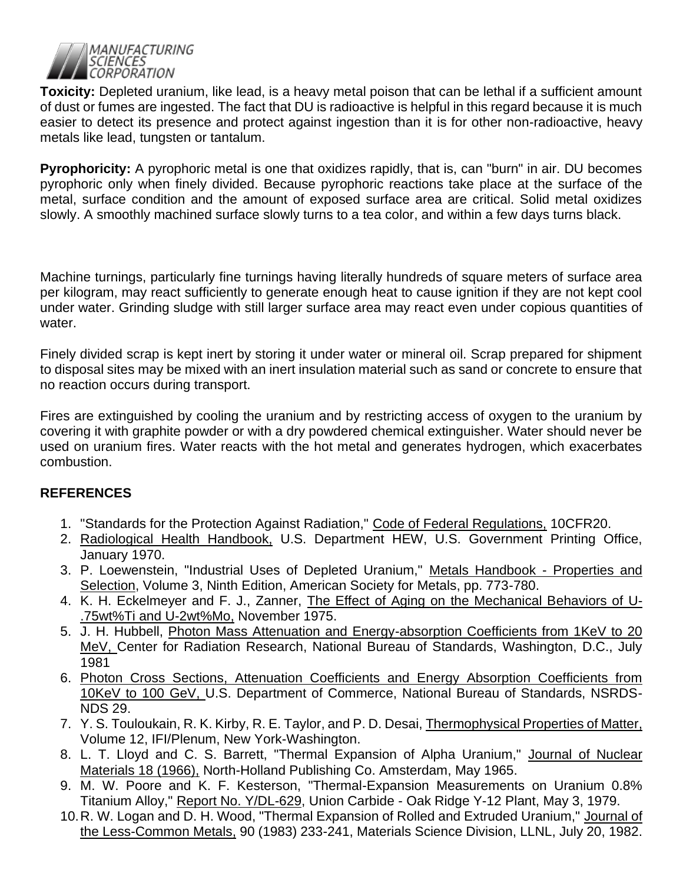

**Toxicity:** Depleted uranium, like lead, is a heavy metal poison that can be lethal if a sufficient amount of dust or fumes are ingested. The fact that DU is radioactive is helpful in this regard because it is much easier to detect its presence and protect against ingestion than it is for other non-radioactive, heavy metals like lead, tungsten or tantalum.

**Pyrophoricity:** A pyrophoric metal is one that oxidizes rapidly, that is, can "burn" in air. DU becomes pyrophoric only when finely divided. Because pyrophoric reactions take place at the surface of the metal, surface condition and the amount of exposed surface area are critical. Solid metal oxidizes slowly. A smoothly machined surface slowly turns to a tea color, and within a few days turns black.

Machine turnings, particularly fine turnings having literally hundreds of square meters of surface area per kilogram, may react sufficiently to generate enough heat to cause ignition if they are not kept cool under water. Grinding sludge with still larger surface area may react even under copious quantities of water.

Finely divided scrap is kept inert by storing it under water or mineral oil. Scrap prepared for shipment to disposal sites may be mixed with an inert insulation material such as sand or concrete to ensure that no reaction occurs during transport.

Fires are extinguished by cooling the uranium and by restricting access of oxygen to the uranium by covering it with graphite powder or with a dry powdered chemical extinguisher. Water should never be used on uranium fires. Water reacts with the hot metal and generates hydrogen, which exacerbates combustion.

# **REFERENCES**

- 1. "Standards for the Protection Against Radiation," Code of Federal Regulations, 10CFR20.
- 2. Radiological Health Handbook, U.S. Department HEW, U.S. Government Printing Office, January 1970.
- 3. P. Loewenstein, "Industrial Uses of Depleted Uranium," Metals Handbook Properties and Selection, Volume 3, Ninth Edition, American Society for Metals, pp. 773-780.
- 4. K. H. Eckelmeyer and F. J., Zanner, The Effect of Aging on the Mechanical Behaviors of U-.75wt%Ti and U-2wt%Mo, November 1975.
- 5. J. H. Hubbell, Photon Mass Attenuation and Energy-absorption Coefficients from 1KeV to 20 MeV, Center for Radiation Research, National Bureau of Standards, Washington, D.C., July 1981
- 6. Photon Cross Sections, Attenuation Coefficients and Energy Absorption Coefficients from 10KeV to 100 GeV, U.S. Department of Commerce, National Bureau of Standards, NSRDS-NDS 29.
- 7. Y. S. Touloukain, R. K. Kirby, R. E. Taylor, and P. D. Desai, Thermophysical Properties of Matter, Volume 12, IFI/Plenum, New York-Washington.
- 8. L. T. Lloyd and C. S. Barrett, "Thermal Expansion of Alpha Uranium," Journal of Nuclear Materials 18 (1966), North-Holland Publishing Co. Amsterdam, May 1965.
- 9. M. W. Poore and K. F. Kesterson, "Thermal-Expansion Measurements on Uranium 0.8% Titanium Alloy," Report No. Y/DL-629, Union Carbide - Oak Ridge Y-12 Plant, May 3, 1979.
- 10.R. W. Logan and D. H. Wood, "Thermal Expansion of Rolled and Extruded Uranium," Journal of the Less-Common Metals, 90 (1983) 233-241, Materials Science Division, LLNL, July 20, 1982.